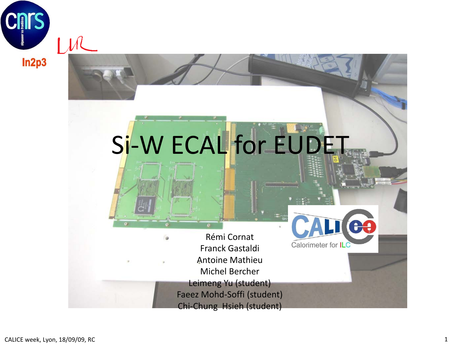

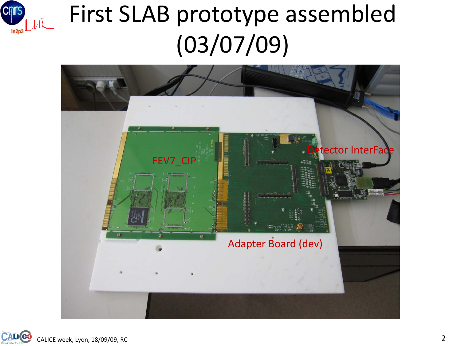

#### First SLAB prototype assembled (03/07/09)



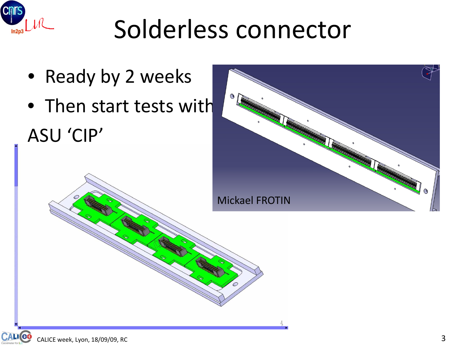

## Solderless connector

- Ready by 2 weeks
- Then start tests with ASU 'CIP'

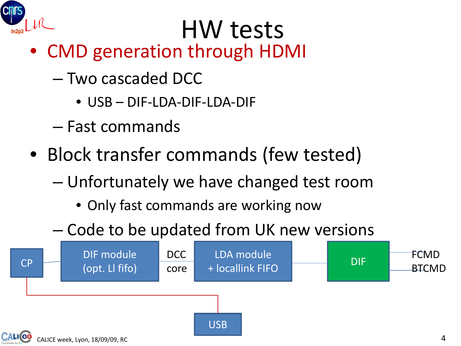

## HW tests

- CMD generation through HDMI
	- Two cascaded DCC
		- USB DIF-LDA-DIF-LDA-DIF
	- Fast commands
- Block transfer commands (few tested)
	- Unfortunately we have changed test room
		- Only fast commands are working now
	- Code to be updated from UK new versions

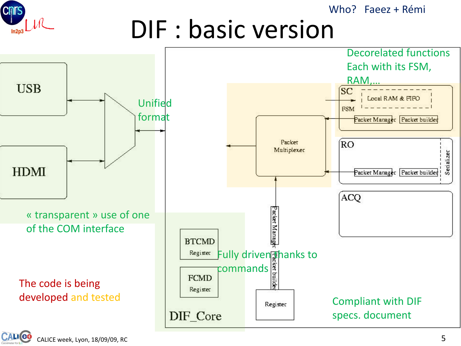**Cnrs** ЛL

Who? Faeez + Rémi

#### DIF : basic version